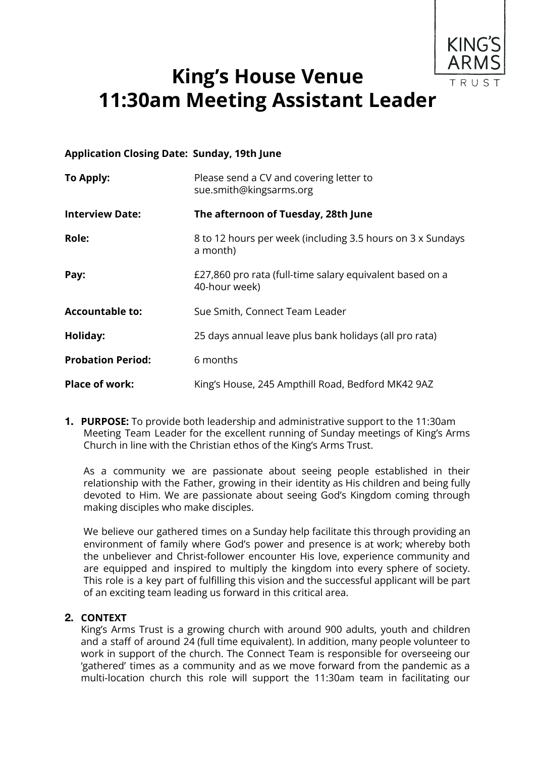

# **King's House Venue 11:30am Meeting Assistant Leader**

#### **Application Closing Date: Sunday, 19th June**

| To Apply:                | Please send a CV and covering letter to<br>sue.smith@kingsarms.org        |
|--------------------------|---------------------------------------------------------------------------|
| <b>Interview Date:</b>   | The afternoon of Tuesday, 28th June                                       |
| Role:                    | 8 to 12 hours per week (including 3.5 hours on 3 x Sundays<br>a month)    |
| Pay:                     | £27,860 pro rata (full-time salary equivalent based on a<br>40-hour week) |
| <b>Accountable to:</b>   | Sue Smith, Connect Team Leader                                            |
| Holiday:                 | 25 days annual leave plus bank holidays (all pro rata)                    |
| <b>Probation Period:</b> | 6 months                                                                  |
| <b>Place of work:</b>    | King's House, 245 Ampthill Road, Bedford MK42 9AZ                         |

**1. PURPOSE:** To provide both leadership and administrative support to the 11:30am Meeting Team Leader for the excellent running of Sunday meetings of King's Arms Church in line with the Christian ethos of the King's Arms Trust.

As a community we are passionate about seeing people established in their relationship with the Father, growing in their identity as His children and being fully devoted to Him. We are passionate about seeing God's Kingdom coming through making disciples who make disciples.

We believe our gathered times on a Sunday help facilitate this through providing an environment of family where God's power and presence is at work; whereby both the unbeliever and Christ-follower encounter His love, experience community and are equipped and inspired to multiply the kingdom into every sphere of society. This role is a key part of fulfilling this vision and the successful applicant will be part of an exciting team leading us forward in this critical area.

#### **2. CONTEXT**

King's Arms Trust is a growing church with around 900 adults, youth and children and a staff of around 24 (full time equivalent). In addition, many people volunteer to work in support of the church. The Connect Team is responsible for overseeing our 'gathered' times as a community and as we move forward from the pandemic as a multi-location church this role will support the 11:30am team in facilitating our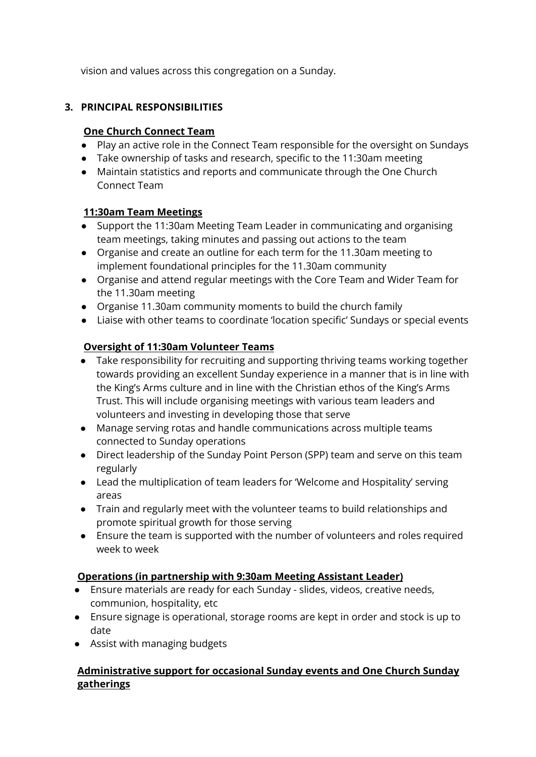vision and values across this congregation on a Sunday.

#### **3. PRINCIPAL RESPONSIBILITIES**

#### **One Church Connect Team**

- Play an active role in the Connect Team responsible for the oversight on Sundays
- Take ownership of tasks and research, specific to the 11:30am meeting
- Maintain statistics and reports and communicate through the One Church Connect Team

#### **11:30am Team Meetings**

- Support the 11:30am Meeting Team Leader in communicating and organising team meetings, taking minutes and passing out actions to the team
- Organise and create an outline for each term for the 11.30am meeting to implement foundational principles for the 11.30am community
- Organise and attend regular meetings with the Core Team and Wider Team for the 11.30am meeting
- Organise 11.30am community moments to build the church family
- Liaise with other teams to coordinate 'location specific' Sundays or special events

## **Oversight of 11:30am Volunteer Teams**

- Take responsibility for recruiting and supporting thriving teams working together towards providing an excellent Sunday experience in a manner that is in line with the King's Arms culture and in line with the Christian ethos of the King's Arms Trust. This will include organising meetings with various team leaders and volunteers and investing in developing those that serve
- Manage serving rotas and handle communications across multiple teams connected to Sunday operations
- Direct leadership of the Sunday Point Person (SPP) team and serve on this team regularly
- Lead the multiplication of team leaders for 'Welcome and Hospitality' serving areas
- Train and regularly meet with the volunteer teams to build relationships and promote spiritual growth for those serving
- Ensure the team is supported with the number of volunteers and roles required week to week

#### **Operations (in partnership with 9:30am Meeting Assistant Leader)**

- Ensure materials are ready for each Sunday slides, videos, creative needs, communion, hospitality, etc
- Ensure signage is operational, storage rooms are kept in order and stock is up to date
- Assist with managing budgets

## **Administrative support for occasional Sunday events and One Church Sunday gatherings**